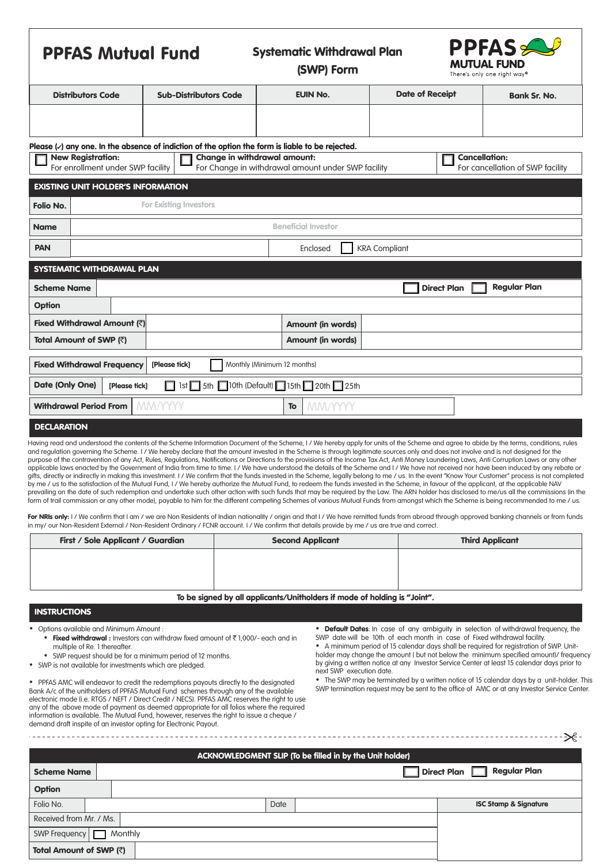| <b>PPFAS Mutual Fund</b>                                                                                                                                                                                        |                                  | <b>Systematic Withdrawal Plan</b><br>(SWP) Form |                        | <b>PPFAS</b><br><b>MUTUAL FUND</b><br>There's only one right way <sup>®</sup> |  |  |  |
|-----------------------------------------------------------------------------------------------------------------------------------------------------------------------------------------------------------------|----------------------------------|-------------------------------------------------|------------------------|-------------------------------------------------------------------------------|--|--|--|
| <b>Distributors Code</b>                                                                                                                                                                                        | <b>Sub-Distributors Code</b>     | <b>EUIN No.</b>                                 | <b>Date of Receipt</b> | <b>Bank Sr. No.</b>                                                           |  |  |  |
|                                                                                                                                                                                                                 |                                  |                                                 |                        |                                                                               |  |  |  |
| Please $\langle \cdot \rangle$ any one. In the absence of indiction of the option the form is liable to be rejected.                                                                                            |                                  |                                                 |                        |                                                                               |  |  |  |
| Change in withdrawal amount:<br><b>Cancellation:</b><br><b>New Registration:</b><br>For enrollment under SWP facility<br>For Change in withdrawal amount under SWP facility<br>For cancellation of SWP facility |                                  |                                                 |                        |                                                                               |  |  |  |
| <b>EXISTING UNIT HOLDER'S INFORMATION</b>                                                                                                                                                                       |                                  |                                                 |                        |                                                                               |  |  |  |
| <b>For Existing Investors</b><br>Folio No.                                                                                                                                                                      |                                  |                                                 |                        |                                                                               |  |  |  |
| <b>Name</b>                                                                                                                                                                                                     | <b>Beneficial Investor</b>       |                                                 |                        |                                                                               |  |  |  |
| <b>PAN</b>                                                                                                                                                                                                      | <b>KRA Compliant</b><br>Enclosed |                                                 |                        |                                                                               |  |  |  |
| <b>SYSTEMATIC WITHDRAWAL PLAN</b>                                                                                                                                                                               |                                  |                                                 |                        |                                                                               |  |  |  |
| <b>Regular Plan</b><br><b>Direct Plan</b><br><b>Scheme Name</b>                                                                                                                                                 |                                  |                                                 |                        |                                                                               |  |  |  |
| Option                                                                                                                                                                                                          |                                  |                                                 |                        |                                                                               |  |  |  |
| Fixed Withdrawal Amount (₹)                                                                                                                                                                                     |                                  | <b>Amount (in words)</b>                        |                        |                                                                               |  |  |  |
| Amount (in words)<br>Total Amount of SWP (₹)                                                                                                                                                                    |                                  |                                                 |                        |                                                                               |  |  |  |
| <b>Fixed Withdrawal Frequency</b><br>Monthly (Minimum 12 months)<br>[Please tick]                                                                                                                               |                                  |                                                 |                        |                                                                               |  |  |  |
| 1st 5th 10th (Default) 15th 20th 25th<br>Date (Only One)<br>[Please tick]<br>П                                                                                                                                  |                                  |                                                 |                        |                                                                               |  |  |  |
| <b>Withdrawal Period From</b>                                                                                                                                                                                   | MM/YYYY                          | MM/YYYY<br><b>To</b>                            |                        |                                                                               |  |  |  |
| <b>DECLARATION</b>                                                                                                                                                                                              |                                  |                                                 |                        |                                                                               |  |  |  |

Having read and understood the contents of the Scheme Information Document of the Scheme, I / We hereby apply for units of the Scheme and agree to abide by the terms, conditions, rules and regulation governing the Scheme. I / We hereby declare that the amount invested in the Scheme is through legitimate sources only and does not involve and is not designed for the purpose of the contravention of any Act, Rules, Regulations, Notifications or Directions fo the provisions of the Income Tax Act, Anti Money Laundering Laws, Anti Corruption Laws or any other applicable laws enacted by the Government of India from time to time. I / We have understood the details of the Scheme and I / We have not received nor have been induced by any rebate or qifts, directly or indirectly in making this investment. I / We confirm that the funds invested in the Scheme, legally belong to me / us. In the event "Know Your Customer" process is not completed by me / us to the satisfaction of the Mutual Fund, I / We hereby authorize the Mutual Fund, to redeem the funds invested in the Scheme, in favour of the applicant, at the applicable NAV prevailing on the date of such redemption and undertake such other action with such funds that may be required by the Law. The ARN holder has disclosed to me/us all the commissions (in the form of trail commission or any other mode), payable to him for the different competing Schemes of various Mutual Funds from amongst which the Scheme is being recommended to me / us.

For NRIs only: I / We confirm that I am / we are Non Residents of Indian nationality / origin and that I / We have remitted funds from abroad through approved banking channels or from funds in my/ our Non-Resident External / Non-Resident Ordinary / FCNR account. I / We confirm that details provide by me / us are true and correct.

| First / Sole Applicant / Guardian | <b>Second Applicant</b> | <b>Third Applicant</b> |
|-----------------------------------|-------------------------|------------------------|
|                                   |                         |                        |
|                                   |                         |                        |
|                                   |                         |                        |

#### To be signed by all applicants/Unitholders if mode of holding is "Joint".

## **INSTRUCTIONS**

- - Fixed withdrawal : Investors can withdraw fixed amount of  $\bar{\tau}$  1,000/- each and in multiple of Re. 1 thereafter.
- 
- 

Bank A/c of the unitholders of PPFAS Mutual Fund schemes through any of the available electronic mode (i.e. RTGS / NEFT / Direct Credit / NECS). PPFAS AMC reserves the right to use any of the above mode of payment as deemed appropriate for all folios where the required information is available. The Mutual Fund, however, reserves the right to issue a cheque / demand draft inspite of an investor opting for Electronic Payout.

Options available and Minimum Amount :<br>• Fixed withdrawal : Investors can withdraw fixed amount of ₹1,000/- each and in SWP date will be 10th of each month in case of Fixed withdrawal facility.

multiple of Re. 1 thereafter. Thereafter wind meriod of 15 calendar days shall be required for registration of SWP. Unit-<br>Yequest should be for a minimum period of 12 months. And the holder may change the amount (but not b Ÿ SWP request should be for a minimum period of 12 months. holder may change the amount ( but not below the minimum specified amount)/ frequency • SWP is not available for investments which are pledged. <br>
SWP is not available for investments which are pledged. next SWP execution date.

• PPFAS AMC will endeavor to credit the redemptions payouts directly to the designated • The SWP may be terminated by a written notice of 15 calendar days by a unit-holder. This Perside Center.<br>Bank A/c of the unitholders

|                                                          |                                              |      | $\mathcal{K}$ -                  |  |  |  |  |
|----------------------------------------------------------|----------------------------------------------|------|----------------------------------|--|--|--|--|
| ACKNOWLEDGMENT SLIP (To be filled in by the Unit holder) |                                              |      |                                  |  |  |  |  |
| <b>Scheme Name</b>                                       | <b>Regular Plan</b><br>Direct Plan $\square$ |      |                                  |  |  |  |  |
| <b>Option</b>                                            |                                              |      |                                  |  |  |  |  |
| Folio No.                                                |                                              | Date | <b>ISC Stamp &amp; Signature</b> |  |  |  |  |
| Received from Mr. / Ms.                                  |                                              |      |                                  |  |  |  |  |
| <b>SWP Frequency</b><br>Monthly                          |                                              |      |                                  |  |  |  |  |
| Total Amount of SWP (₹)                                  |                                              |      |                                  |  |  |  |  |